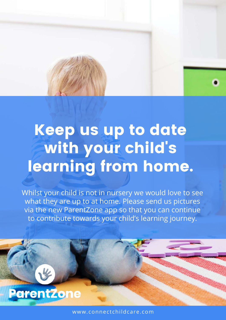# Keep us up to date with your child' s learning from home.

Whilst your child is not in nursery we would love to see what they are up to at home. Please send us pictures via the new ParentZone app so that you can continue to contribute towards your child's learning journey.



3%

www.connectchildcare.com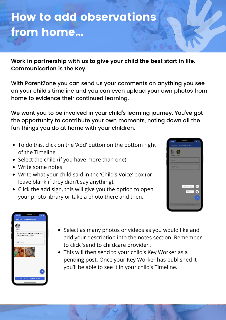# How to add observations from home...

**Work in partnership with us to give your child the best start in life. Communication is the Key.**

With ParentZone you can send us your comments on anything you see on your child's timeline and you can even upload your own photos from home to evidence their continued learning.

We want you to be involved in your child's learning journey. You've got the opportunity to contribute your own moments, noting down all the fun things you do at home with your children.

- To do this, click on the 'Add' button on the bottom right of the Timeline.
- Select the child (if you have more than one).
- Write some notes.
- Write what your child said in the 'Child's Voice' box (or leave blank if they didn't say anything).
- Click the add sign, this will give you the option to open your photo library or take a photo there and then.





- Select as many photos or videos as you would like and add your description into the notes section. Remember to click 'send to childcare provider'.
- This will then send to your child's Key Worker as a pending post. Once your Key Worker has published it you'll be able to see it in your child's Timeline.